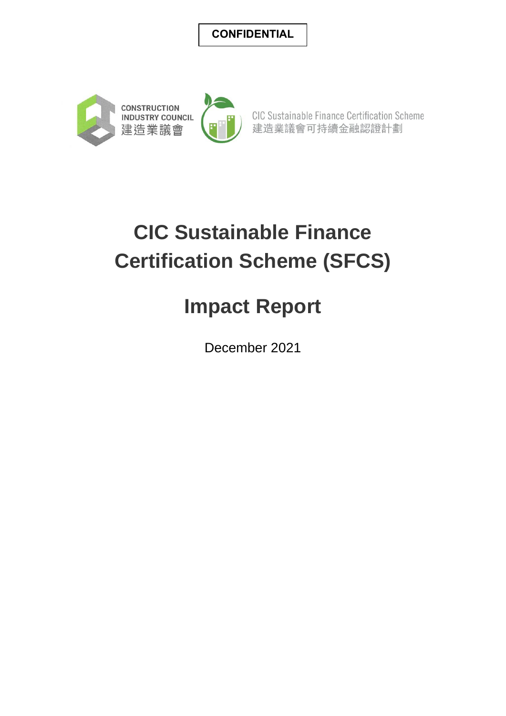#### **CONFIDENTIAL**



CIC Sustainable Finance Certification Scheme 建造業議會可持續金融認證計劃

# **CIC Sustainable Finance Certification Scheme (SFCS)**

## **Impact Report**

December 2021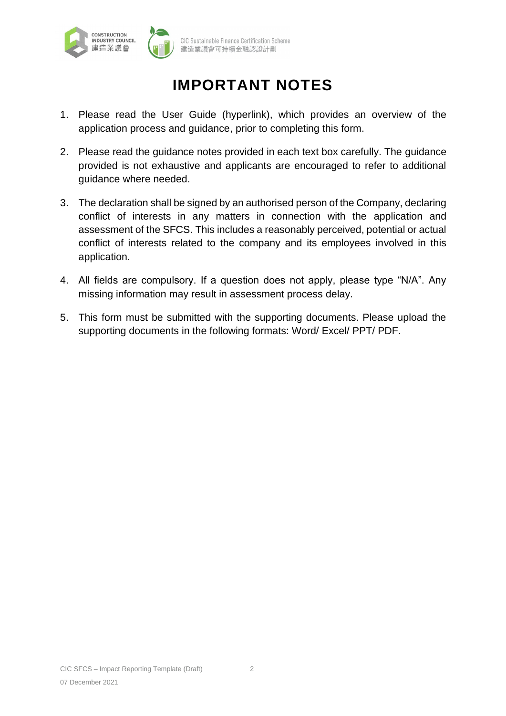

## **IMPORTANT NOTES**

- 1. Please read the User Guide (hyperlink), which provides an overview of the application process and guidance, prior to completing this form.
- 2. Please read the guidance notes provided in each text box carefully. The guidance provided is not exhaustive and applicants are encouraged to refer to additional guidance where needed.
- 3. The declaration shall be signed by an authorised person of the Company, declaring conflict of interests in any matters in connection with the application and assessment of the SFCS. This includes a reasonably perceived, potential or actual conflict of interests related to the company and its employees involved in this application.
- 4. All fields are compulsory. If a question does not apply, please type "N/A". Any missing information may result in assessment process delay.
- 5. This form must be submitted with the supporting documents. Please upload the supporting documents in the following formats: Word/ Excel/ PPT/ PDF.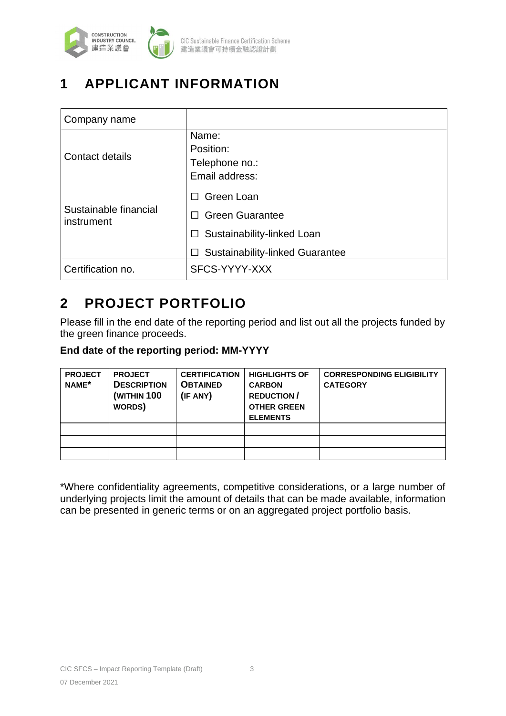

## **1 APPLICANT INFORMATION**

| Company name                        |                                                                                                                        |
|-------------------------------------|------------------------------------------------------------------------------------------------------------------------|
| <b>Contact details</b>              | Name:<br>Position:<br>Telephone no.:<br>Email address:                                                                 |
| Sustainable financial<br>instrument | Green Loan<br><b>Green Guarantee</b><br>Sustainability-linked Loan<br>$\Box$<br><b>Sustainability-linked Guarantee</b> |
| Certification no.                   | SFCS-YYYY-XXX                                                                                                          |

### **2 PROJECT PORTFOLIO**

Please fill in the end date of the reporting period and list out all the projects funded by the green finance proceeds.

#### **End date of the reporting period: MM-YYYY**

| <b>PROJECT</b><br>NAME* | <b>PROJECT</b><br><b>DESCRIPTION</b><br><b>(WITHIN 100</b><br>WORDS) | <b>CERTIFICATION</b><br><b>OBTAINED</b><br>(IF ANY) | <b>HIGHLIGHTS OF</b><br><b>CARBON</b><br><b>REDUCTION/</b><br><b>OTHER GREEN</b><br><b>ELEMENTS</b> | <b>CORRESPONDING ELIGIBILITY</b><br><b>CATEGORY</b> |
|-------------------------|----------------------------------------------------------------------|-----------------------------------------------------|-----------------------------------------------------------------------------------------------------|-----------------------------------------------------|
|                         |                                                                      |                                                     |                                                                                                     |                                                     |
|                         |                                                                      |                                                     |                                                                                                     |                                                     |
|                         |                                                                      |                                                     |                                                                                                     |                                                     |

\*Where confidentiality agreements, competitive considerations, or a large number of underlying projects limit the amount of details that can be made available, information can be presented in generic terms or on an aggregated project portfolio basis.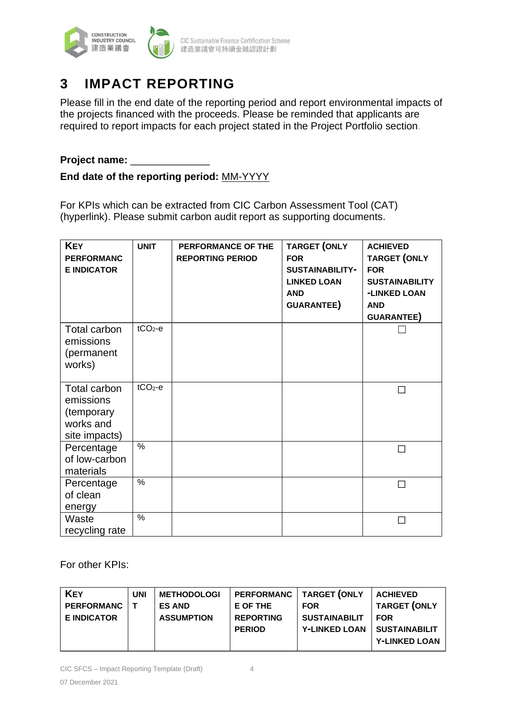

### **3 IMPACT REPORTING**

Please fill in the end date of the reporting period and report environmental impacts of the projects financed with the proceeds. Please be reminded that applicants are required to report impacts for each project stated in the Project Portfolio section.

#### **Project name:** \_\_\_\_\_\_\_\_\_\_\_\_\_\_

#### **End date of the reporting period:** MM-YYYY

For KPIs which can be extracted from CIC Carbon Assessment Tool (CAT) (hyperlink). Please submit carbon audit report as supporting documents.

| <b>KEY</b><br><b>PERFORMANC</b><br><b>E INDICATOR</b>                 | <b>UNIT</b>   | PERFORMANCE OF THE<br><b>REPORTING PERIOD</b> | <b>TARGET (ONLY</b><br><b>FOR</b><br><b>SUSTAINABILITY-</b><br><b>LINKED LOAN</b><br><b>AND</b><br><b>GUARANTEE)</b> | <b>ACHIEVED</b><br><b>TARGET (ONLY</b><br><b>FOR</b><br><b>SUSTAINABILITY</b><br>-LINKED LOAN<br><b>AND</b><br>GUARANTEE) |
|-----------------------------------------------------------------------|---------------|-----------------------------------------------|----------------------------------------------------------------------------------------------------------------------|---------------------------------------------------------------------------------------------------------------------------|
| Total carbon<br>emissions<br>(permanent<br>works)                     | $tCO2-e$      |                                               |                                                                                                                      |                                                                                                                           |
| Total carbon<br>emissions<br>(temporary<br>works and<br>site impacts) | $tCO2-e$      |                                               |                                                                                                                      | П                                                                                                                         |
| Percentage<br>of low-carbon<br>materials                              | $\frac{0}{0}$ |                                               |                                                                                                                      |                                                                                                                           |
| Percentage<br>of clean<br>energy                                      | $\%$          |                                               |                                                                                                                      |                                                                                                                           |
| Waste<br>recycling rate                                               | $\%$          |                                               |                                                                                                                      |                                                                                                                           |

For other KPIs:

| <b>KEY</b>         | <b>UNI</b> | <b>METHODOLOGI</b> | <b>PERFORMANC</b> | <b>TARGET (ONLY</b>  | <b>ACHIEVED</b>      |
|--------------------|------------|--------------------|-------------------|----------------------|----------------------|
| <b>PERFORMANC</b>  |            | <b>ES AND</b>      | E OF THE          | <b>FOR</b>           | TARGET (ONLY         |
| <b>E INDICATOR</b> |            | <b>ASSUMPTION</b>  | <b>REPORTING</b>  | <b>SUSTAINABILIT</b> | <b>FOR</b>           |
|                    |            |                    | <b>PERIOD</b>     | <b>Y-LINKED LOAN</b> | <b>SUSTAINABILIT</b> |
|                    |            |                    |                   |                      | <b>Y-LINKED LOAN</b> |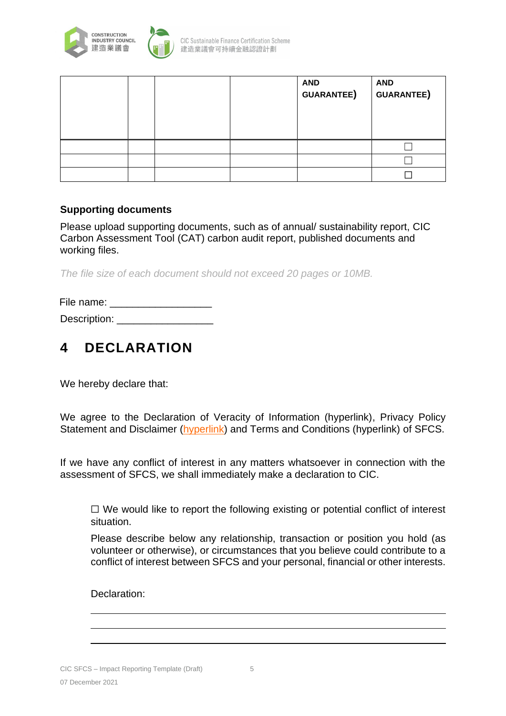

|  |  | <b>AND</b><br><b>GUARANTEE)</b> | <b>AND</b><br><b>GUARANTEE)</b> |
|--|--|---------------------------------|---------------------------------|
|  |  |                                 |                                 |
|  |  |                                 |                                 |
|  |  |                                 |                                 |

#### **Supporting documents**

Please upload supporting documents, such as of annual/ sustainability report, CIC Carbon Assessment Tool (CAT) carbon audit report, published documents and working files.

*The file size of each document should not exceed 20 pages or 10MB.* 

File name: **Example** 

Description:

#### **4 DECLARATION**

We hereby declare that:

We agree to the Declaration of Veracity of Information (hyperlink), Privacy Policy Statement and Disclaimer [\(hyperlink\)](http://www.cic.hk/eng/main/disclaimer/) and Terms and Conditions (hyperlink) of SFCS.

If we have any conflict of interest in any matters whatsoever in connection with the assessment of SFCS, we shall immediately make a declaration to CIC.

 $\Box$  We would like to report the following existing or potential conflict of interest situation.

Please describe below any relationship, transaction or position you hold (as volunteer or otherwise), or circumstances that you believe could contribute to a conflict of interest between SFCS and your personal, financial or other interests.

Declaration: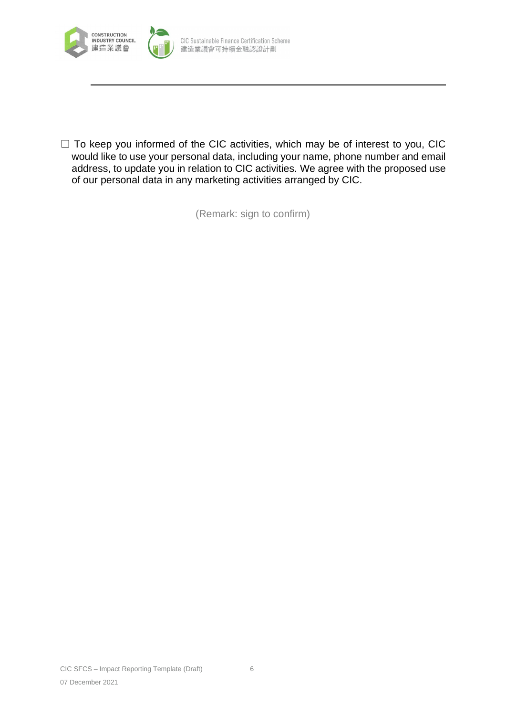

 $\Box$  To keep you informed of the CIC activities, which may be of interest to you, CIC would like to use your personal data, including your name, phone number and email address, to update you in relation to CIC activities. We agree with the proposed use of our personal data in any marketing activities arranged by CIC.

(Remark: sign to confirm)